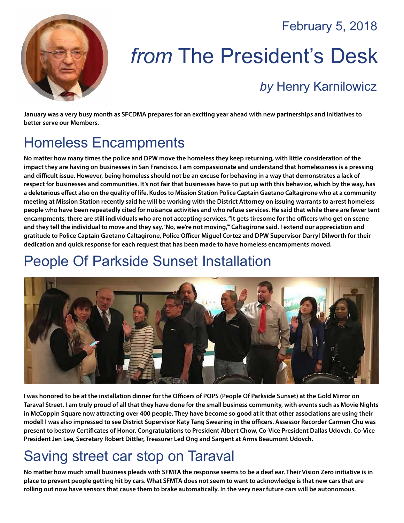#### February 5, 2018



# *from* The President's Desk

#### *by* [Henry Karnilowicz](mailto:henry@sfcdma.org)

**January was a very busy month as SFCDMA prepares for an exciting year ahead with new partnerships and initiatives to better serve our Members.**

# Homeless Encampments

**No matter how many times the police and DPW move the homeless they keep returning, with little consideration of the impact they are having on businesses in San Francisco. I am compassionate and understand that homelessness is a pressing and difficult issue. However, being homeless should not be an excuse for behaving in a way that demonstrates a lack of respect for businesses and communities. It's not fair that businesses have to put up with this behavior, which by the way, has a deleterious effect also on the quality of life. Kudos to Mission Station Police Captain Gaetano Caltagirone who at a community meeting at Mission Station recently said he will be working with the District Attorney on issuing warrants to arrest homeless people who have been repeatedly cited for nuisance activities and who refuse services. He said that while there are fewer tent encampments, there are still individuals who are not accepting services. "It gets tiresome for the officers who get on scene and they tell the individual to move and they say, 'No, we're not moving,'" Caltagirone said. I extend our appreciation and gratitude to Police Captain Gaetano Caltagirone, Police Officer Miguel Cortez and DPW Supervisor Darryl Dilworth for their dedication and quick response for each request that has been made to have homeless encampments moved.**

## People Of Parkside Sunset Installation



**I was honored to be at the installation dinner for the Officers of POPS (People Of Parkside Sunset) at the Gold Mirror on Taraval Street. I am truly proud of all that they have done for the small business community, with events such as Movie Nights in McCoppin Square now attracting over 400 people. They have become so good at it that other associations are using their model! I was also impressed to see District Supervisor Katy Tang Swearing in the officers. Assessor Recorder Carmen Chu was present to bestow Certificates of Honor. Congratulations to President Albert Chow, Co-Vice President Dallas Udovch, Co-Vice President Jen Lee, Secretary Robert Dittler, Treasurer Led Ong and Sargent at Arms Beaumont Udovch.**

### Saving street car stop on Taraval

**No matter how much small business pleads with SFMTA the response seems to be a deaf ear. Their Vision Zero initiative is in place to prevent people getting hit by cars. What SFMTA does not seem to want to acknowledge is that new cars that are rolling out now have sensors that cause them to brake automatically. In the very near future cars will be autonomous.**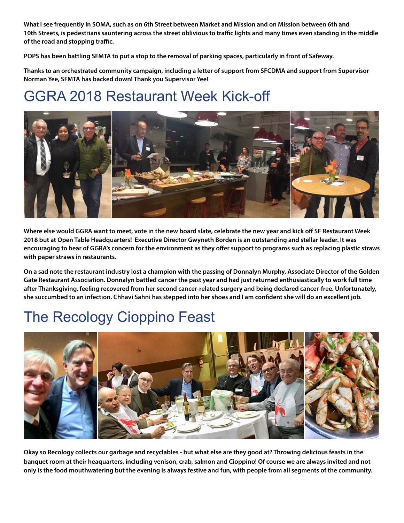**What I see frequently in SOMA, such as on 6th Street between Market and Mission and on Mission between 6th and 10th Streets, is pedestrians sauntering across the street oblivious to traffic lights and many times even standing in the middle of the road and stopping traffic.**

**POPS has been battling SFMTA to put a stop to the removal of parking spaces, particularly in front of Safeway.** 

**Thanks to an orchestrated community campaign, including a letter of support from SFCDMA and support from Supervisor Norman Yee, SFMTA has backed down! Thank you Supervisor Yee!**

### GGRA 2018 Restaurant Week Kick-off



**Where else would GGRA want to meet, vote in the new board slate, celebrate the new year and kick off SF Restaurant Week 2018 but at Open Table Headquarters! Executive Director Gwyneth Borden is an outstanding and stellar leader. It was encouraging to hear of GGRA's concern for the environment as they offer support to programs such as replacing plastic straws with paper straws in restaurants.** 

**On a sad note the restaurant industry lost a champion with the passing of Donnalyn Murphy, Associate Director of the Golden Gate Restaurant Association. Donnalyn battled cancer the past year and had just returned enthusiastically to work full time after Thanksgiving, feeling recovered from her second cancer-related surgery and being declared cancer-free. Unfortunately, she succumbed to an infection. Chhavi Sahni has stepped into her shoes and I am confident she will do an excellent job.**

## The Recology Cioppino Feast



**Okay so Recology collects our garbage and recyclables - but what else are they good at? Throwing delicious feasts in the banquet room at their heaquarters, including venison, crab, salmon and Cioppino! Of course we are always invited and not only is the food mouthwatering but the evening is always festive and fun, with people from all segments of the community.**